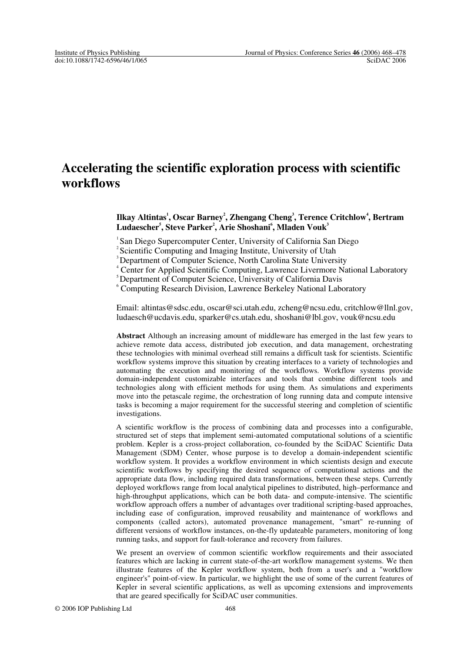# **Accelerating the scientific exploration process with scientific workflows**

# Ilkay Altintas<sup>1</sup>, Oscar Barney<sup>2</sup>, Zhengang Cheng<sup>3</sup>, Terence Critchlow<sup>4</sup>, Bertram  $\bf{Ludaescher}^5,$   $\bf{Steve Parker}^2,$   $\bf{Arie Shoshani}^6,$   $\bf{Mladen~Vouk}^3$

<sup>1</sup> San Diego Supercomputer Center, University of California San Diego

<sup>2</sup> Scientific Computing and Imaging Institute, University of Utah

<sup>3</sup> Department of Computer Science, North Carolina State University

4 Center for Applied Scientific Computing, Lawrence Livermore National Laboratory

5 Department of Computer Science, University of California Davis

6 Computing Research Division, Lawrence Berkeley National Laboratory

Email: altintas@sdsc.edu, oscar@sci.utah.edu, zcheng@ncsu.edu, critchlow@llnl.gov, ludaesch@ucdavis.edu, sparker@cs.utah.edu, shoshani@lbl.gov, vouk@ncsu.edu

**Abstract** Although an increasing amount of middleware has emerged in the last few years to achieve remote data access, distributed job execution, and data management, orchestrating these technologies with minimal overhead still remains a difficult task for scientists. Scientific workflow systems improve this situation by creating interfaces to a variety of technologies and automating the execution and monitoring of the workflows. Workflow systems provide domain-independent customizable interfaces and tools that combine different tools and technologies along with efficient methods for using them. As simulations and experiments move into the petascale regime, the orchestration of long running data and compute intensive tasks is becoming a major requirement for the successful steering and completion of scientific investigations.

A scientific workflow is the process of combining data and processes into a configurable, structured set of steps that implement semi-automated computational solutions of a scientific problem. Kepler is a cross-project collaboration, co-founded by the SciDAC Scientific Data Management (SDM) Center, whose purpose is to develop a domain-independent scientific workflow system. It provides a workflow environment in which scientists design and execute scientific workflows by specifying the desired sequence of computational actions and the appropriate data flow, including required data transformations, between these steps. Currently deployed workflows range from local analytical pipelines to distributed, high–performance and high-throughput applications, which can be both data- and compute-intensive. The scientific workflow approach offers a number of advantages over traditional scripting-based approaches, including ease of configuration, improved reusability and maintenance of workflows and components (called actors), automated provenance management, "smart" re-running of different versions of workflow instances, on-the-fly updateable parameters, monitoring of long running tasks, and support for fault-tolerance and recovery from failures.

We present an overview of common scientific workflow requirements and their associated features which are lacking in current state-of-the-art workflow management systems. We then illustrate features of the Kepler workflow system, both from a user's and a "workflow engineer's" point-of-view. In particular, we highlight the use of some of the current features of Kepler in several scientific applications, as well as upcoming extensions and improvements that are geared specifically for SciDAC user communities.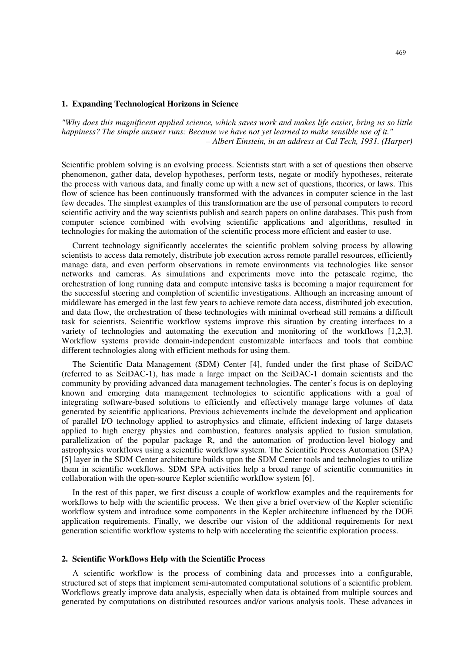#### **1. Expanding Technological Horizons in Science**

*"Why does this magnificent applied science, which saves work and makes life easier, bring us so little happiness? The simple answer runs: Because we have not yet learned to make sensible use of it." – Albert Einstein, in an address at Cal Tech, 1931. (Harper)* 

Scientific problem solving is an evolving process. Scientists start with a set of questions then observe phenomenon, gather data, develop hypotheses, perform tests, negate or modify hypotheses, reiterate the process with various data, and finally come up with a new set of questions, theories, or laws. This flow of science has been continuously transformed with the advances in computer science in the last few decades. The simplest examples of this transformation are the use of personal computers to record scientific activity and the way scientists publish and search papers on online databases. This push from computer science combined with evolving scientific applications and algorithms, resulted in technologies for making the automation of the scientific process more efficient and easier to use.

Current technology significantly accelerates the scientific problem solving process by allowing scientists to access data remotely, distribute job execution across remote parallel resources, efficiently manage data, and even perform observations in remote environments via technologies like sensor networks and cameras. As simulations and experiments move into the petascale regime, the orchestration of long running data and compute intensive tasks is becoming a major requirement for the successful steering and completion of scientific investigations. Although an increasing amount of middleware has emerged in the last few years to achieve remote data access, distributed job execution, and data flow, the orchestration of these technologies with minimal overhead still remains a difficult task for scientists. Scientific workflow systems improve this situation by creating interfaces to a variety of technologies and automating the execution and monitoring of the workflows [1,2,3]. Workflow systems provide domain-independent customizable interfaces and tools that combine different technologies along with efficient methods for using them.

The Scientific Data Management (SDM) Center [4], funded under the first phase of SciDAC (referred to as SciDAC-1), has made a large impact on the SciDAC-1 domain scientists and the community by providing advanced data management technologies. The center's focus is on deploying known and emerging data management technologies to scientific applications with a goal of integrating software-based solutions to efficiently and effectively manage large volumes of data generated by scientific applications. Previous achievements include the development and application of parallel I/O technology applied to astrophysics and climate, efficient indexing of large datasets applied to high energy physics and combustion, features analysis applied to fusion simulation, parallelization of the popular package R, and the automation of production-level biology and astrophysics workflows using a scientific workflow system. The Scientific Process Automation (SPA) [5] layer in the SDM Center architecture builds upon the SDM Center tools and technologies to utilize them in scientific workflows. SDM SPA activities help a broad range of scientific communities in collaboration with the open-source Kepler scientific workflow system [6].

In the rest of this paper, we first discuss a couple of workflow examples and the requirements for workflows to help with the scientific process. We then give a brief overview of the Kepler scientific workflow system and introduce some components in the Kepler architecture influenced by the DOE application requirements. Finally, we describe our vision of the additional requirements for next generation scientific workflow systems to help with accelerating the scientific exploration process.

## **2. Scientific Workflows Help with the Scientific Process**

A scientific workflow is the process of combining data and processes into a configurable, structured set of steps that implement semi-automated computational solutions of a scientific problem. Workflows greatly improve data analysis, especially when data is obtained from multiple sources and generated by computations on distributed resources and/or various analysis tools. These advances in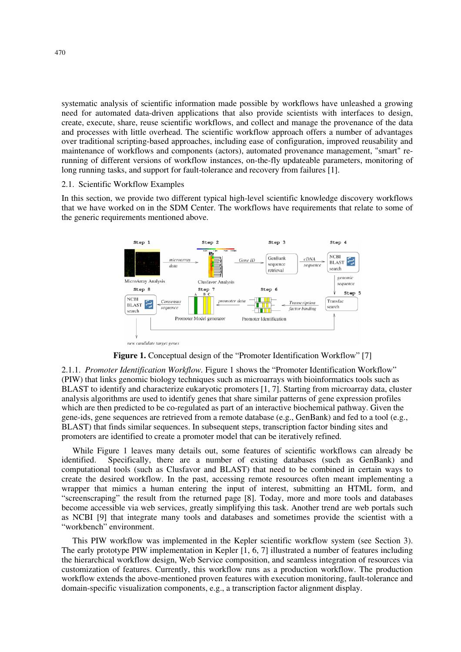systematic analysis of scientific information made possible by workflows have unleashed a growing need for automated data-driven applications that also provide scientists with interfaces to design, create, execute, share, reuse scientific workflows, and collect and manage the provenance of the data and processes with little overhead. The scientific workflow approach offers a number of advantages over traditional scripting-based approaches, including ease of configuration, improved reusability and maintenance of workflows and components (actors), automated provenance management, "smart" rerunning of different versions of workflow instances, on-the-fly updateable parameters, monitoring of long running tasks, and support for fault-tolerance and recovery from failures [1].

#### 2.1. Scientific Workflow Examples

In this section, we provide two different typical high-level scientific knowledge discovery workflows that we have worked on in the SDM Center. The workflows have requirements that relate to some of the generic requirements mentioned above.



Figure 1. Conceptual design of the "Promoter Identification Workflow" [7]

2.1.1. *Promoter Identification Workflow.* Figure 1 shows the "Promoter Identification Workflow" (PIW) that links genomic biology techniques such as microarrays with bioinformatics tools such as BLAST to identify and characterize eukaryotic promoters [1, 7]. Starting from microarray data, cluster analysis algorithms are used to identify genes that share similar patterns of gene expression profiles which are then predicted to be co-regulated as part of an interactive biochemical pathway. Given the gene-ids, gene sequences are retrieved from a remote database (e.g., GenBank) and fed to a tool (e.g., BLAST) that finds similar sequences. In subsequent steps, transcription factor binding sites and promoters are identified to create a promoter model that can be iteratively refined.

While Figure 1 leaves many details out, some features of scientific workflows can already be identified. Specifically, there are a number of existing databases (such as GenBank) and computational tools (such as Clusfavor and BLAST) that need to be combined in certain ways to create the desired workflow. In the past, accessing remote resources often meant implementing a wrapper that mimics a human entering the input of interest, submitting an HTML form, and "screenscraping" the result from the returned page [8]. Today, more and more tools and databases become accessible via web services, greatly simplifying this task. Another trend are web portals such as NCBI [9] that integrate many tools and databases and sometimes provide the scientist with a "workbench" environment.

This PIW workflow was implemented in the Kepler scientific workflow system (see Section 3). The early prototype PIW implementation in Kepler [1, 6, 7] illustrated a number of features including the hierarchical workflow design, Web Service composition, and seamless integration of resources via customization of features. Currently, this workflow runs as a production workflow. The production workflow extends the above-mentioned proven features with execution monitoring, fault-tolerance and domain-specific visualization components, e.g., a transcription factor alignment display.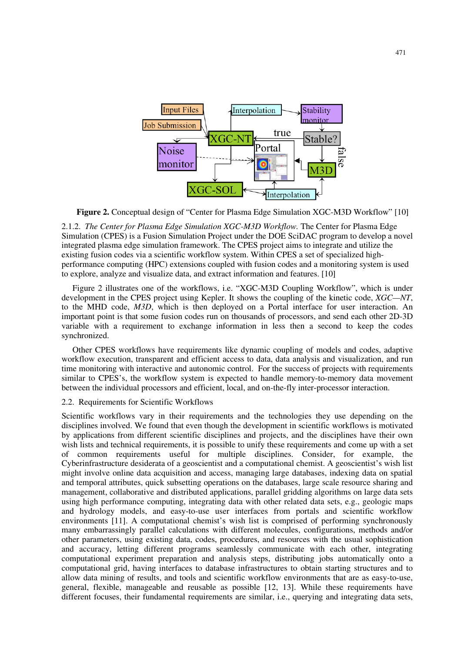

**Figure 2.** Conceptual design of "Center for Plasma Edge Simulation XGC-M3D Workflow" [10]

2.1.2. *The Center for Plasma Edge Simulation XGC-M3D Workflow.* The Center for Plasma Edge Simulation (CPES) is a Fusion Simulation Project under the DOE SciDAC program to develop a novel integrated plasma edge simulation framework. The CPES project aims to integrate and utilize the existing fusion codes via a scientific workflow system. Within CPES a set of specialized highperformance computing (HPC) extensions coupled with fusion codes and a monitoring system is used to explore, analyze and visualize data, and extract information and features. [10]

Figure 2 illustrates one of the workflows, i.e. "XGC-M3D Coupling Workflow", which is under development in the CPES project using Kepler. It shows the coupling of the kinetic code, *XGC—NT*, to the MHD code, *M3D*, which is then deployed on a Portal interface for user interaction. An important point is that some fusion codes run on thousands of processors, and send each other 2D-3D variable with a requirement to exchange information in less then a second to keep the codes synchronized.

Other CPES workflows have requirements like dynamic coupling of models and codes, adaptive workflow execution, transparent and efficient access to data, data analysis and visualization, and run time monitoring with interactive and autonomic control. For the success of projects with requirements similar to CPES's, the workflow system is expected to handle memory-to-memory data movement between the individual processors and efficient, local, and on-the-fly inter-processor interaction.

## 2.2. Requirements for Scientific Workflows

Scientific workflows vary in their requirements and the technologies they use depending on the disciplines involved. We found that even though the development in scientific workflows is motivated by applications from different scientific disciplines and projects, and the disciplines have their own wish lists and technical requirements, it is possible to unify these requirements and come up with a set of common requirements useful for multiple disciplines. Consider, for example, the Cyberinfrastructure desiderata of a geoscientist and a computational chemist. A geoscientist's wish list might involve online data acquisition and access, managing large databases, indexing data on spatial and temporal attributes, quick subsetting operations on the databases, large scale resource sharing and management, collaborative and distributed applications, parallel gridding algorithms on large data sets using high performance computing, integrating data with other related data sets, e.g., geologic maps and hydrology models, and easy-to-use user interfaces from portals and scientific workflow environments [11]. A computational chemist's wish list is comprised of performing synchronously many embarrassingly parallel calculations with different molecules, configurations, methods and/or other parameters, using existing data, codes, procedures, and resources with the usual sophistication and accuracy, letting different programs seamlessly communicate with each other, integrating computational experiment preparation and analysis steps, distributing jobs automatically onto a computational grid, having interfaces to database infrastructures to obtain starting structures and to allow data mining of results, and tools and scientific workflow environments that are as easy-to-use, general, flexible, manageable and reusable as possible [12, 13]. While these requirements have different focuses, their fundamental requirements are similar, i.e., querying and integrating data sets,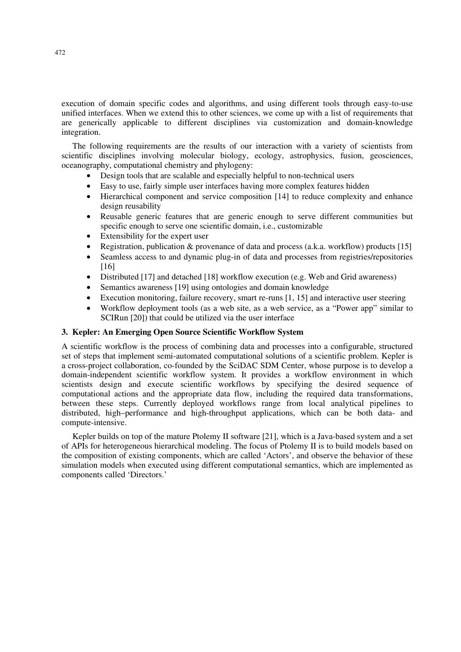execution of domain specific codes and algorithms, and using different tools through easy-to-use unified interfaces. When we extend this to other sciences, we come up with a list of requirements that are generically applicable to different disciplines via customization and domain-knowledge integration.

The following requirements are the results of our interaction with a variety of scientists from scientific disciplines involving molecular biology, ecology, astrophysics, fusion, geosciences, oceanography, computational chemistry and phylogeny:

- Design tools that are scalable and especially helpful to non-technical users
- Easy to use, fairly simple user interfaces having more complex features hidden
- Hierarchical component and service composition [14] to reduce complexity and enhance design reusability
- Reusable generic features that are generic enough to serve different communities but specific enough to serve one scientific domain, i.e., customizable
- Extensibility for the expert user
- Registration, publication & provenance of data and process (a.k.a. workflow) products [15]
- Seamless access to and dynamic plug-in of data and processes from registries/repositories [16]
- Distributed [17] and detached [18] workflow execution (e.g. Web and Grid awareness)
- Semantics awareness [19] using ontologies and domain knowledge
- Execution monitoring, failure recovery, smart re-runs [1, 15] and interactive user steering
- Workflow deployment tools (as a web site, as a web service, as a "Power app" similar to  $SCIRun [20]$  that could be utilized via the user interface

## **3. Kepler: An Emerging Open Source Scientific Workflow System**

A scientific workflow is the process of combining data and processes into a configurable, structured set of steps that implement semi-automated computational solutions of a scientific problem. Kepler is a cross-project collaboration, co-founded by the SciDAC SDM Center, whose purpose is to develop a domain-independent scientific workflow system. It provides a workflow environment in which scientists design and execute scientific workflows by specifying the desired sequence of computational actions and the appropriate data flow, including the required data transformations, between these steps. Currently deployed workflows range from local analytical pipelines to distributed, high–performance and high-throughput applications, which can be both data- and compute-intensive.

Kepler builds on top of the mature Ptolemy II software [21], which is a Java-based system and a set of APIs for heterogeneous hierarchical modeling. The focus of Ptolemy II is to build models based on the composition of existing components, which are called 'Actors', and observe the behavior of these simulation models when executed using different computational semantics, which are implemented as components called 'Directors.'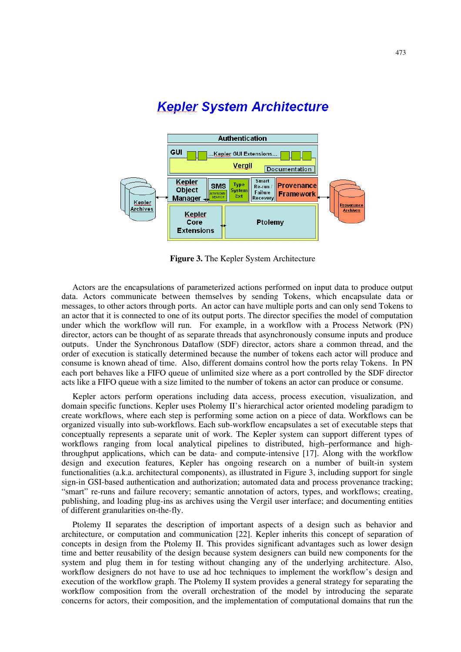



**Figure 3.** The Kepler System Architecture

Actors are the encapsulations of parameterized actions performed on input data to produce output data. Actors communicate between themselves by sending Tokens, which encapsulate data or messages, to other actors through ports. An actor can have multiple ports and can only send Tokens to an actor that it is connected to one of its output ports. The director specifies the model of computation under which the workflow will run. For example, in a workflow with a Process Network (PN) director, actors can be thought of as separate threads that asynchronously consume inputs and produce outputs. Under the Synchronous Dataflow (SDF) director, actors share a common thread, and the order of execution is statically determined because the number of tokens each actor will produce and consume is known ahead of time. Also, different domains control how the ports relay Tokens. In PN each port behaves like a FIFO queue of unlimited size where as a port controlled by the SDF director acts like a FIFO queue with a size limited to the number of tokens an actor can produce or consume.

Kepler actors perform operations including data access, process execution, visualization, and domain specific functions. Kepler uses Ptolemy II's hierarchical actor oriented modeling paradigm to create workflows, where each step is performing some action on a piece of data. Workflows can be organized visually into sub-workflows. Each sub-workflow encapsulates a set of executable steps that conceptually represents a separate unit of work. The Kepler system can support different types of workflows ranging from local analytical pipelines to distributed, high–performance and highthroughput applications, which can be data- and compute-intensive [17]. Along with the workflow design and execution features, Kepler has ongoing research on a number of built-in system functionalities (a.k.a. architectural components), as illustrated in Figure 3, including support for single sign-in GSI-based authentication and authorization; automated data and process provenance tracking; "smart" re-runs and failure recovery; semantic annotation of actors, types, and workflows; creating, publishing, and loading plug-ins as archives using the Vergil user interface; and documenting entities of different granularities on-the-fly.

Ptolemy II separates the description of important aspects of a design such as behavior and architecture, or computation and communication [22]. Kepler inherits this concept of separation of concepts in design from the Ptolemy II. This provides significant advantages such as lower design time and better reusability of the design because system designers can build new components for the system and plug them in for testing without changing any of the underlying architecture. Also, workflow designers do not have to use ad hoc techniques to implement the workflow's design and execution of the workflow graph. The Ptolemy II system provides a general strategy for separating the workflow composition from the overall orchestration of the model by introducing the separate concerns for actors, their composition, and the implementation of computational domains that run the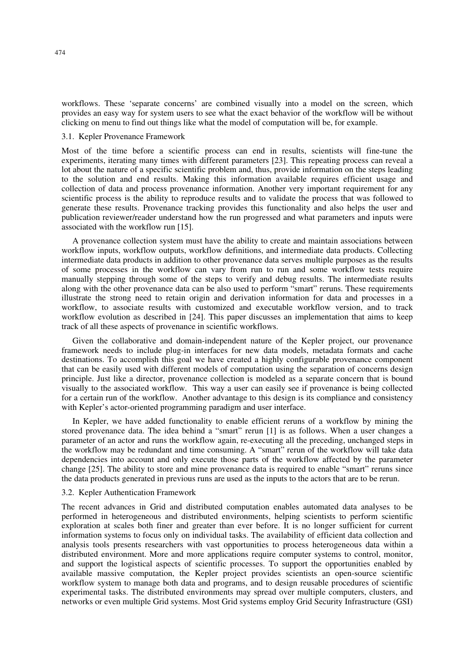workflows. These 'separate concerns' are combined visually into a model on the screen, which provides an easy way for system users to see what the exact behavior of the workflow will be without clicking on menu to find out things like what the model of computation will be, for example.

## 3.1. Kepler Provenance Framework

Most of the time before a scientific process can end in results, scientists will fine-tune the experiments, iterating many times with different parameters [23]. This repeating process can reveal a lot about the nature of a specific scientific problem and, thus, provide information on the steps leading to the solution and end results. Making this information available requires efficient usage and collection of data and process provenance information. Another very important requirement for any scientific process is the ability to reproduce results and to validate the process that was followed to generate these results. Provenance tracking provides this functionality and also helps the user and publication reviewer/reader understand how the run progressed and what parameters and inputs were associated with the workflow run [15].

A provenance collection system must have the ability to create and maintain associations between workflow inputs, workflow outputs, workflow definitions, and intermediate data products. Collecting intermediate data products in addition to other provenance data serves multiple purposes as the results of some processes in the workflow can vary from run to run and some workflow tests require manually stepping through some of the steps to verify and debug results. The intermediate results along with the other provenance data can be also used to perform "smart" reruns. These requirements illustrate the strong need to retain origin and derivation information for data and processes in a workflow, to associate results with customized and executable workflow version, and to track workflow evolution as described in [24]. This paper discusses an implementation that aims to keep track of all these aspects of provenance in scientific workflows.

Given the collaborative and domain-independent nature of the Kepler project, our provenance framework needs to include plug-in interfaces for new data models, metadata formats and cache destinations. To accomplish this goal we have created a highly configurable provenance component that can be easily used with different models of computation using the separation of concerns design principle. Just like a director, provenance collection is modeled as a separate concern that is bound visually to the associated workflow. This way a user can easily see if provenance is being collected for a certain run of the workflow. Another advantage to this design is its compliance and consistency with Kepler's actor-oriented programming paradigm and user interface.

In Kepler, we have added functionality to enable efficient reruns of a workflow by mining the stored provenance data. The idea behind a "smart" rerun [1] is as follows. When a user changes a parameter of an actor and runs the workflow again, re-executing all the preceding, unchanged steps in the workflow may be redundant and time consuming. A "smart" rerun of the workflow will take data dependencies into account and only execute those parts of the workflow affected by the parameter change [25]. The ability to store and mine provenance data is required to enable "smart" reruns since the data products generated in previous runs are used as the inputs to the actors that are to be rerun.

## 3.2. Kepler Authentication Framework

The recent advances in Grid and distributed computation enables automated data analyses to be performed in heterogeneous and distributed environments, helping scientists to perform scientific exploration at scales both finer and greater than ever before. It is no longer sufficient for current information systems to focus only on individual tasks. The availability of efficient data collection and analysis tools presents researchers with vast opportunities to process heterogeneous data within a distributed environment. More and more applications require computer systems to control, monitor, and support the logistical aspects of scientific processes. To support the opportunities enabled by available massive computation, the Kepler project provides scientists an open-source scientific workflow system to manage both data and programs, and to design reusable procedures of scientific experimental tasks. The distributed environments may spread over multiple computers, clusters, and networks or even multiple Grid systems. Most Grid systems employ Grid Security Infrastructure (GSI)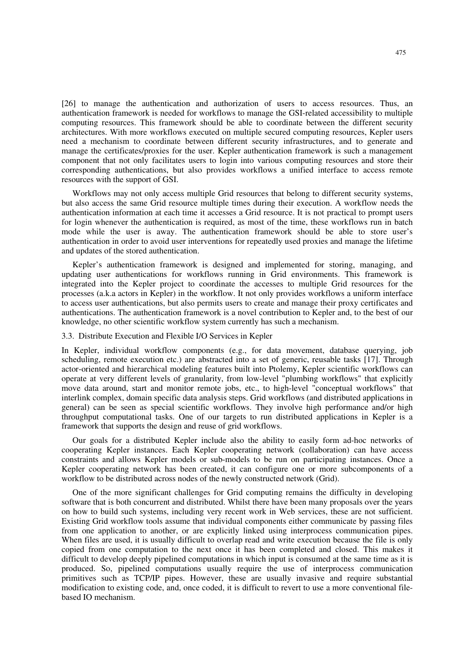[26] to manage the authentication and authorization of users to access resources. Thus, an authentication framework is needed for workflows to manage the GSI-related accessibility to multiple computing resources. This framework should be able to coordinate between the different security architectures. With more workflows executed on multiple secured computing resources, Kepler users need a mechanism to coordinate between different security infrastructures, and to generate and manage the certificates/proxies for the user. Kepler authentication framework is such a management component that not only facilitates users to login into various computing resources and store their corresponding authentications, but also provides workflows a unified interface to access remote resources with the support of GSI.

Workflows may not only access multiple Grid resources that belong to different security systems, but also access the same Grid resource multiple times during their execution. A workflow needs the authentication information at each time it accesses a Grid resource. It is not practical to prompt users for login whenever the authentication is required, as most of the time, these workflows run in batch mode while the user is away. The authentication framework should be able to store user's authentication in order to avoid user interventions for repeatedly used proxies and manage the lifetime and updates of the stored authentication.

Kepler's authentication framework is designed and implemented for storing, managing, and updating user authentications for workflows running in Grid environments. This framework is integrated into the Kepler project to coordinate the accesses to multiple Grid resources for the processes (a.k.a actors in Kepler) in the workflow. It not only provides workflows a uniform interface to access user authentications, but also permits users to create and manage their proxy certificates and authentications. The authentication framework is a novel contribution to Kepler and, to the best of our knowledge, no other scientific workflow system currently has such a mechanism.

## 3.3. Distribute Execution and Flexible I/O Services in Kepler

In Kepler, individual workflow components (e.g., for data movement, database querying, job scheduling, remote execution etc.) are abstracted into a set of generic, reusable tasks [17]. Through actor-oriented and hierarchical modeling features built into Ptolemy, Kepler scientific workflows can operate at very different levels of granularity, from low-level "plumbing workflows" that explicitly move data around, start and monitor remote jobs, etc., to high-level "conceptual workflows" that interlink complex, domain specific data analysis steps. Grid workflows (and distributed applications in general) can be seen as special scientific workflows. They involve high performance and/or high throughput computational tasks. One of our targets to run distributed applications in Kepler is a framework that supports the design and reuse of grid workflows.

Our goals for a distributed Kepler include also the ability to easily form ad-hoc networks of cooperating Kepler instances. Each Kepler cooperating network (collaboration) can have access constraints and allows Kepler models or sub-models to be run on participating instances. Once a Kepler cooperating network has been created, it can configure one or more subcomponents of a workflow to be distributed across nodes of the newly constructed network (Grid).

One of the more significant challenges for Grid computing remains the difficulty in developing software that is both concurrent and distributed. Whilst there have been many proposals over the years on how to build such systems, including very recent work in Web services, these are not sufficient. Existing Grid workflow tools assume that individual components either communicate by passing files from one application to another, or are explicitly linked using interprocess communication pipes. When files are used, it is usually difficult to overlap read and write execution because the file is only copied from one computation to the next once it has been completed and closed. This makes it difficult to develop deeply pipelined computations in which input is consumed at the same time as it is produced. So, pipelined computations usually require the use of interprocess communication primitives such as TCP/IP pipes. However, these are usually invasive and require substantial modification to existing code, and, once coded, it is difficult to revert to use a more conventional filebased IO mechanism.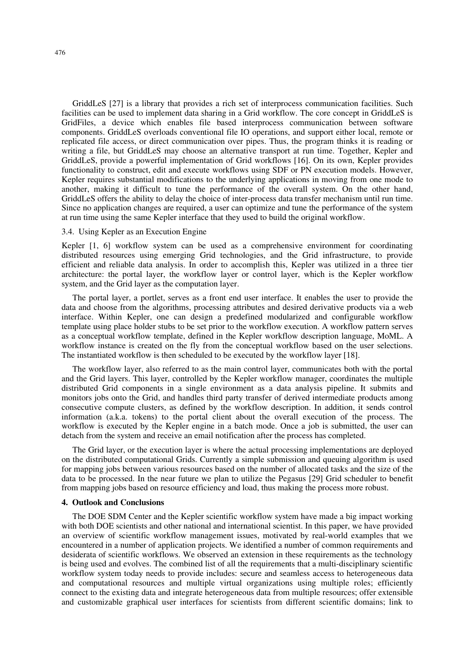GriddLeS [27] is a library that provides a rich set of interprocess communication facilities. Such facilities can be used to implement data sharing in a Grid workflow. The core concept in GriddLeS is GridFiles, a device which enables file based interprocess communication between software components. GriddLeS overloads conventional file IO operations, and support either local, remote or replicated file access, or direct communication over pipes. Thus, the program thinks it is reading or writing a file, but GriddLeS may choose an alternative transport at run time. Together, Kepler and GriddLeS, provide a powerful implementation of Grid workflows [16]. On its own, Kepler provides functionality to construct, edit and execute workflows using SDF or PN execution models. However, Kepler requires substantial modifications to the underlying applications in moving from one mode to another, making it difficult to tune the performance of the overall system. On the other hand, GriddLeS offers the ability to delay the choice of inter-process data transfer mechanism until run time. Since no application changes are required, a user can optimize and tune the performance of the system at run time using the same Kepler interface that they used to build the original workflow.

## 3.4. Using Kepler as an Execution Engine

Kepler [1, 6] workflow system can be used as a comprehensive environment for coordinating distributed resources using emerging Grid technologies, and the Grid infrastructure, to provide efficient and reliable data analysis. In order to accomplish this, Kepler was utilized in a three tier architecture: the portal layer, the workflow layer or control layer, which is the Kepler workflow system, and the Grid layer as the computation layer.

The portal layer, a portlet, serves as a front end user interface. It enables the user to provide the data and choose from the algorithms, processing attributes and desired derivative products via a web interface. Within Kepler, one can design a predefined modularized and configurable workflow template using place holder stubs to be set prior to the workflow execution. A workflow pattern serves as a conceptual workflow template, defined in the Kepler workflow description language, MoML. A workflow instance is created on the fly from the conceptual workflow based on the user selections. The instantiated workflow is then scheduled to be executed by the workflow layer [18].

The workflow layer, also referred to as the main control layer, communicates both with the portal and the Grid layers. This layer, controlled by the Kepler workflow manager, coordinates the multiple distributed Grid components in a single environment as a data analysis pipeline. It submits and monitors jobs onto the Grid, and handles third party transfer of derived intermediate products among consecutive compute clusters, as defined by the workflow description. In addition, it sends control information (a.k.a. tokens) to the portal client about the overall execution of the process. The workflow is executed by the Kepler engine in a batch mode. Once a job is submitted, the user can detach from the system and receive an email notification after the process has completed.

The Grid layer, or the execution layer is where the actual processing implementations are deployed on the distributed computational Grids. Currently a simple submission and queuing algorithm is used for mapping jobs between various resources based on the number of allocated tasks and the size of the data to be processed. In the near future we plan to utilize the Pegasus [29] Grid scheduler to benefit from mapping jobs based on resource efficiency and load, thus making the process more robust.

## **4. Outlook and Conclusions**

The DOE SDM Center and the Kepler scientific workflow system have made a big impact working with both DOE scientists and other national and international scientist. In this paper, we have provided an overview of scientific workflow management issues, motivated by real-world examples that we encountered in a number of application projects. We identified a number of common requirements and desiderata of scientific workflows. We observed an extension in these requirements as the technology is being used and evolves. The combined list of all the requirements that a multi-disciplinary scientific workflow system today needs to provide includes: secure and seamless access to heterogeneous data and computational resources and multiple virtual organizations using multiple roles; efficiently connect to the existing data and integrate heterogeneous data from multiple resources; offer extensible and customizable graphical user interfaces for scientists from different scientific domains; link to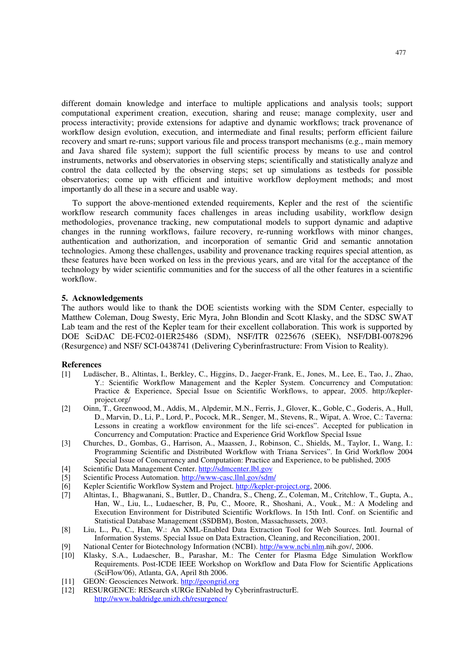different domain knowledge and interface to multiple applications and analysis tools; support computational experiment creation, execution, sharing and reuse; manage complexity, user and process interactivity; provide extensions for adaptive and dynamic workflows; track provenance of workflow design evolution, execution, and intermediate and final results; perform efficient failure recovery and smart re-runs; support various file and process transport mechanisms (e.g., main memory and Java shared file system); support the full scientific process by means to use and control instruments, networks and observatories in observing steps; scientifically and statistically analyze and control the data collected by the observing steps; set up simulations as testbeds for possible observatories; come up with efficient and intuitive workflow deployment methods; and most importantly do all these in a secure and usable way.

To support the above-mentioned extended requirements, Kepler and the rest of the scientific workflow research community faces challenges in areas including usability, workflow design methodologies, provenance tracking, new computational models to support dynamic and adaptive changes in the running workflows, failure recovery, re-running workflows with minor changes, authentication and authorization, and incorporation of semantic Grid and semantic annotation technologies. Among these challenges, usability and provenance tracking requires special attention, as these features have been worked on less in the previous years, and are vital for the acceptance of the technology by wider scientific communities and for the success of all the other features in a scientific workflow.

## **5. Acknowledgements**

The authors would like to thank the DOE scientists working with the SDM Center, especially to Matthew Coleman, Doug Swesty, Eric Myra, John Blondin and Scott Klasky, and the SDSC SWAT Lab team and the rest of the Kepler team for their excellent collaboration. This work is supported by DOE SciDAC DE-FC02-01ER25486 (SDM), NSF/ITR 0225676 (SEEK), NSF/DBI-0078296 (Resurgence) and NSF/ SCI-0438741 (Delivering Cyberinfrastructure: From Vision to Reality).

#### **References**

- [1] Ludäscher, B., Altintas, I., Berkley, C., Higgins, D., Jaeger-Frank, E., Jones, M., Lee, E., Tao, J., Zhao, Y.: Scientific Workflow Management and the Kepler System. Concurrency and Computation: Practice & Experience, Special Issue on Scientific Workflows, to appear, 2005. http://keplerproject.org/
- [2] Oinn, T., Greenwood, M., Addis, M., Alpdemir, M.N., Ferris, J., Glover, K., Goble, C., Goderis, A., Hull, D., Marvin, D., Li, P., Lord, P., Pocock, M.R., Senger, M., Stevens, R., Wipat, A. Wroe, C.: Taverna: Lessons in creating a workflow environment for the life sci-ences". Accepted for publication in Concurrency and Computation: Practice and Experience Grid Workflow Special Issue
- [3] Churches, D., Gombas, G., Harrison, A., Maassen, J., Robinson, C., Shields, M., Taylor, I., Wang, I.: Programming Scientific and Distributed Workflow with Triana Services". In Grid Workflow 2004 Special Issue of Concurrency and Computation: Practice and Experience, to be published, 2005
- [4] Scientific Data Management Center. http://sdmcenter.lbl.gov
- [5] Scientific Process Automation. http://www-casc.llnl.gov/sdm/
- [6] Kepler Scientific Workflow System and Project. http://kepler-project.org, 2006.
- [7] Altintas, I., Bhagwanani, S., Buttler, D., Chandra, S., Cheng, Z., Coleman, M., Critchlow, T., Gupta, A., Han, W., Liu, L., Ludaescher, B, Pu, C., Moore, R., Shoshani, A., Vouk., M.: A Modeling and Execution Environment for Distributed Scientific Workflows. In 15th Intl. Conf. on Scientific and Statistical Database Management (SSDBM), Boston, Massachussets, 2003.
- [8] Liu, L., Pu, C., Han, W.: An XML-Enabled Data Extraction Tool for Web Sources. Intl. Journal of Information Systems. Special Issue on Data Extraction, Cleaning, and Reconciliation, 2001.
- [9] National Center for Biotechnology Information (NCBI). http://www.ncbi.nlm.nih.gov/, 2006.
- [10] Klasky, S.A., Ludaescher, B., Parashar, M.: The Center for Plasma Edge Simulation Workflow Requirements. Post-ICDE IEEE Workshop on Workflow and Data Flow for Scientific Applications (SciFlow'06), Atlanta, GA, April 8th 2006.
- [11] GEON: Geosciences Network. http://geongrid.org
- [12] RESURGENCE: RESearch sURGe ENabled by CyberinfrastructurE. http://www.baldridge.unizh.ch/resurgence/